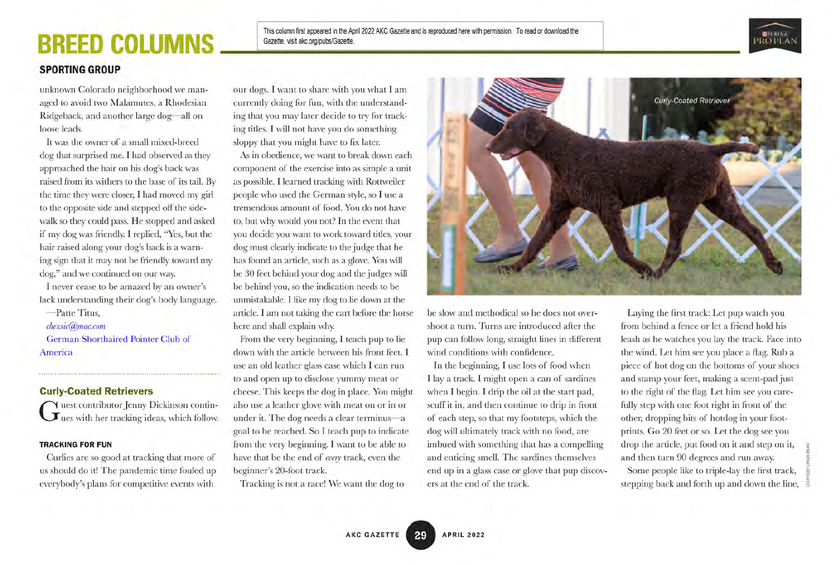## BREED COLUMNS

This column first appeared in the April 2022 AKC Gazette and is reproduced here with permission. To read or download the Gazette, visit akc.org/pubs/Gazette.



### SPORTING GROUP

unknown Colorado neighborhood we managed to avoid two Malamutes, a Rhodesian Ridgeback, and another large dog—all on loose leads.

It was the owner of a small mixed-breed dog that surprised me. I had observed as they approached the hair on his dog's back was raised from its withers to the base of its tail. By the time they were closer, I had moved my girl to the opposite side and stepped off the sidewalk so they could pass. He stopped and asked if my dog was friendly I replied, "Yes, but the hair raised along your dog's back is a warning sign that it may not be friendly toward my dog," and we continued on our way.

I never cease to be amazed by an owner's lack understanding their dog's body language.

-Patte Titus, chexsic@mac.com German Shorthaired Pointer Club of America

### Curly-Coated Retrievers

G uest contributor Jenny Dickinson continuous uest contributorJennyDickinson contin-

#### TRACKING FOR FUN

Curlies are so good at tracking that more of us should do it! The pandemic time fouled up everybody's plans for competitive events with

our dogs. I want to share with you what I am currently doing for fun, with the understanding that you may later decide to try for tracking titles. I will not have you do something sloppy that you might have to fix later.

As in obedience, we want to break down each component of the exercise into as simple a unit as possible. I learned tracking with Rottweiler people who used the German style, so I use a tremendous amount of food. You do not have to, but why would you not? In the event that you decide you want to work toward titles, your dog must clearly indicate to the judge that he has found an article, such as a glove. You will be 30 feet behind your dog and the judges will be behind you, so the indication needs to be unmistakable. I like my dog to lie down at the article. I am not taking the cart before the horse here and shall explain why.

From the very beginning, I teach pup to lie down with the article between his front feet. I use an old leather glass case which I can run to and open up to disclose yummy meat or cheese. This keeps the dog in place. You might also use a leather glove with meat on or in or underit. The dog needs a clear terminus—a goal to be reached. So I teach pup to indicate from the very beginning. I want to be able to have that be the end of every track, even the beginner's 20-foot track.

Tracking is not a race! We want the dog to



be slow and methodical so he does not overshoot a turn. Turns are introduced after the pup can followlong, straight lines in different wind conditions with confidence.

In the beginning, I use lots of food when I lay a track. I might open a can of sardines when I begin. I drip the oil at the start pad, scuff it in, and then continue to drip in front of each step, so that my footsteps, which the dog will ultimately track with no food, are imbued with something that has a compelling and enticing smell. The sardines themselves end up in a glass case or glove that pup discov ers at the end of the track.

Laying the first track: Let pup watch you from behind a fence or let a friend hold his leash as he watches you lay the track. Face into the wind. Let him see you place a flag. Rub a piece of hot dog on the bottoms of your shoes and stamp your feet, making a scent-pad just to the right of the flag. Let him see you carefully step with one foot right in front of the other, dropping bits of hotdog in your footprints. GO 20 feet or so. Let the dog see you drop the article, put food on it and step on it, and then turn 90 degrees and run away. Some people like to triple-lay the first track, stepping back and forth up and down the line,